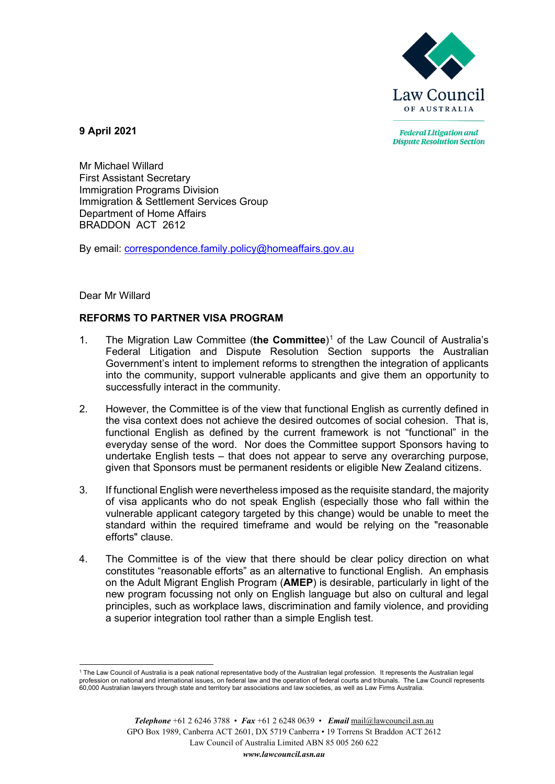

**Federal Litigation and Dispute Resolution Section** 

**9 April 2021**

Mr Michael Willard First Assistant Secretary Immigration Programs Division Immigration & Settlement Services Group Department of Home Affairs BRADDON ACT 2612

By email: [correspondence.family.policy@homeaffairs.gov.au](mailto:correspondence.family.policy@homeaffairs.gov.au)

# Dear Mr Willard

# **REFORMS TO PARTNER VISA PROGRAM**

- 1. The Migration Law Committee (**the Committee**)[1](#page-0-0) of the Law Council of Australia's Federal Litigation and Dispute Resolution Section supports the Australian Government's intent to implement reforms to strengthen the integration of applicants into the community, support vulnerable applicants and give them an opportunity to successfully interact in the community.
- 2. However, the Committee is of the view that functional English as currently defined in the visa context does not achieve the desired outcomes of social cohesion. That is, functional English as defined by the current framework is not "functional" in the everyday sense of the word. Nor does the Committee support Sponsors having to undertake English tests – that does not appear to serve any overarching purpose, given that Sponsors must be permanent residents or eligible New Zealand citizens.
- 3. If functional English were nevertheless imposed as the requisite standard, the majority of visa applicants who do not speak English (especially those who fall within the vulnerable applicant category targeted by this change) would be unable to meet the standard within the required timeframe and would be relying on the "reasonable efforts" clause.
- 4. The Committee is of the view that there should be clear policy direction on what constitutes "reasonable efforts" as an alternative to functional English. An emphasis on the Adult Migrant English Program (**AMEP**) is desirable, particularly in light of the new program focussing not only on English language but also on cultural and legal principles, such as workplace laws, discrimination and family violence, and providing a superior integration tool rather than a simple English test.

<span id="page-0-0"></span><sup>&</sup>lt;sup>1</sup> The Law Council of Australia is a peak national representative body of the Australian legal profession. It represents the Australian legal profession on national and international issues, on federal law and the operation of federal courts and tribunals. The Law Council represents 60,000 Australian lawyers through state and territory bar associations and law societies, as well as Law Firms Australia.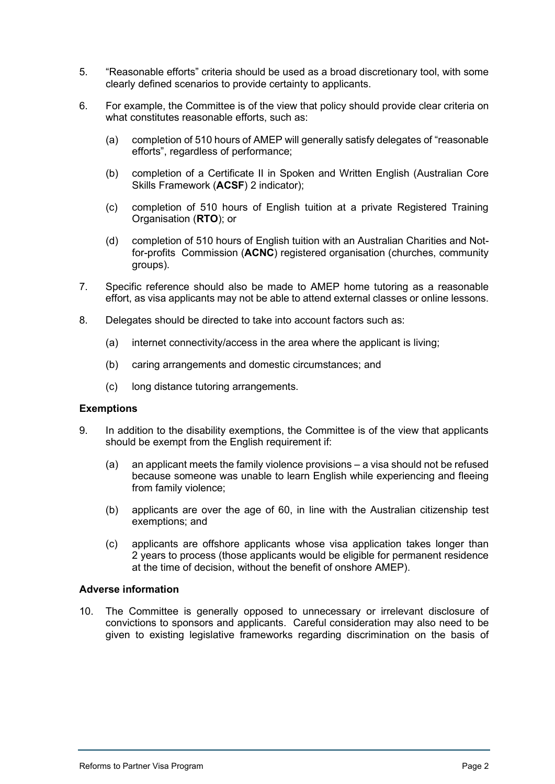- 5. "Reasonable efforts" criteria should be used as a broad discretionary tool, with some clearly defined scenarios to provide certainty to applicants.
- 6. For example, the Committee is of the view that policy should provide clear criteria on what constitutes reasonable efforts, such as:
	- (a) completion of 510 hours of AMEP will generally satisfy delegates of "reasonable efforts", regardless of performance;
	- (b) completion of a Certificate II in Spoken and Written English (Australian Core Skills Framework (**ACSF**) 2 indicator);
	- (c) completion of 510 hours of English tuition at a private Registered Training Organisation (**RTO**); or
	- (d) completion of 510 hours of English tuition with an Australian Charities and Notfor-profits Commission (**ACNC**) registered organisation (churches, community groups).
- 7. Specific reference should also be made to AMEP home tutoring as a reasonable effort, as visa applicants may not be able to attend external classes or online lessons.
- 8. Delegates should be directed to take into account factors such as:
	- (a) internet connectivity/access in the area where the applicant is living;
	- (b) caring arrangements and domestic circumstances; and
	- (c) long distance tutoring arrangements.

### **Exemptions**

- 9. In addition to the disability exemptions, the Committee is of the view that applicants should be exempt from the English requirement if:
	- (a) an applicant meets the family violence provisions a visa should not be refused because someone was unable to learn English while experiencing and fleeing from family violence;
	- (b) applicants are over the age of 60, in line with the Australian citizenship test exemptions; and
	- (c) applicants are offshore applicants whose visa application takes longer than 2 years to process (those applicants would be eligible for permanent residence at the time of decision, without the benefit of onshore AMEP).

## **Adverse information**

10. The Committee is generally opposed to unnecessary or irrelevant disclosure of convictions to sponsors and applicants. Careful consideration may also need to be given to existing legislative frameworks regarding discrimination on the basis of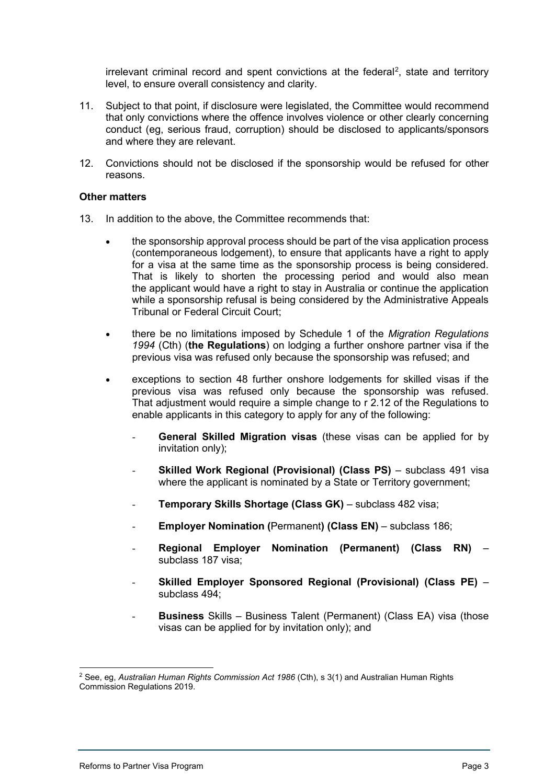irrelevant criminal record and spent convictions at the federal<sup>[2](#page-2-0)</sup>, state and territory level, to ensure overall consistency and clarity.

- 11. Subject to that point, if disclosure were legislated, the Committee would recommend that only convictions where the offence involves violence or other clearly concerning conduct (eg, serious fraud, corruption) should be disclosed to applicants/sponsors and where they are relevant.
- 12. Convictions should not be disclosed if the sponsorship would be refused for other reasons.

## **Other matters**

- 13. In addition to the above, the Committee recommends that:
	- the sponsorship approval process should be part of the visa application process (contemporaneous lodgement), to ensure that applicants have a right to apply for a visa at the same time as the sponsorship process is being considered. That is likely to shorten the processing period and would also mean the applicant would have a right to stay in Australia or continue the application while a sponsorship refusal is being considered by the Administrative Appeals Tribunal or Federal Circuit Court;
	- there be no limitations imposed by Schedule 1 of the *Migration Regulations 1994* (Cth) (**the Regulations**) on lodging a further onshore partner visa if the previous visa was refused only because the sponsorship was refused; and
	- exceptions to section 48 further onshore lodgements for skilled visas if the previous visa was refused only because the sponsorship was refused. That adjustment would require a simple change to r 2.12 of the Regulations to enable applicants in this category to apply for any of the following:
		- **General Skilled Migration visas** (these visas can be applied for by invitation only);
		- **Skilled Work Regional (Provisional) (Class PS)** subclass 491 visa where the applicant is nominated by a State or Territory government;
		- **Temporary Skills Shortage (Class GK)** subclass 482 visa;
		- **Employer Nomination (**Permanent**) (Class EN)** subclass 186;
		- **Regional Employer Nomination (Permanent) (Class RN)** subclass 187 visa;
		- **Skilled Employer Sponsored Regional (Provisional) (Class PE)**  subclass 494;
		- **Business** Skills Business Talent (Permanent) (Class EA) visa (those visas can be applied for by invitation only); and

<span id="page-2-0"></span><sup>2</sup> See, eg, *Australian Human Rights Commission Act 1986* (Cth), s 3(1) and Australian Human Rights Commission Regulations 2019.